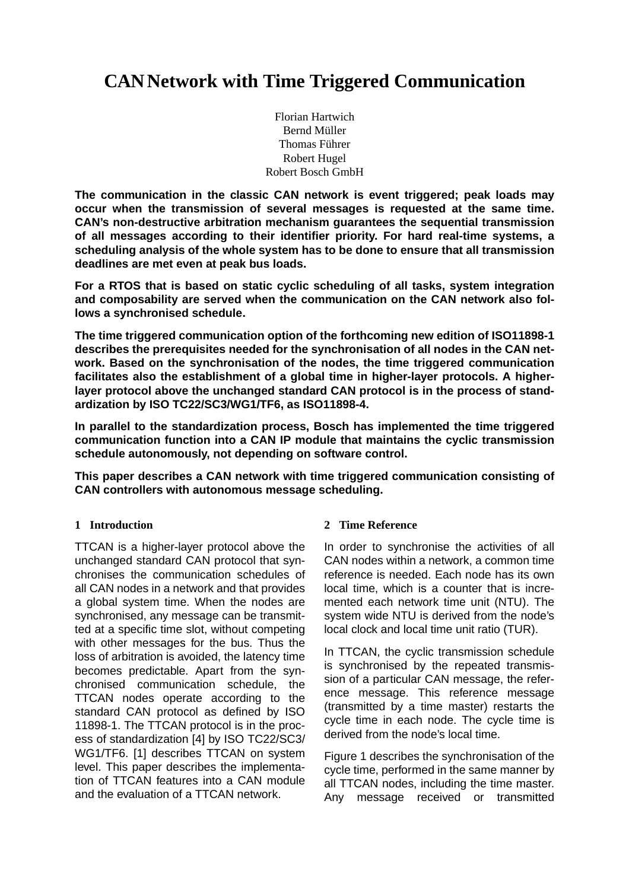# **CAN Network with Time Triggered Communication**

Florian Hartwich Bernd Müller Thomas Führer Robert Hugel Robert Bosch GmbH

**The communication in the classic CAN network is event triggered; peak loads may occur when the transmission of several messages is requested at the same time. CAN's non-destructive arbitration mechanism guarantees the sequential transmission of all messages according to their identifier priority. For hard real-time systems, a scheduling analysis of the whole system has to be done to ensure that all transmission deadlines are met even at peak bus loads.**

**For a RTOS that is based on static cyclic scheduling of all tasks, system integration and composability are served when the communication on the CAN network also follows a synchronised schedule.**

**The time triggered communication option of the forthcoming new edition of ISO11898-1 describes the prerequisites needed for the synchronisation of all nodes in the CAN network. Based on the synchronisation of the nodes, the time triggered communication facilitates also the establishment of a global time in higher-layer protocols. A higherlayer protocol above the unchanged standard CAN protocol is in the process of standardization by ISO TC22/SC3/WG1/TF6, as ISO11898-4.**

**In parallel to the standardization process, Bosch has implemented the time triggered communication function into a CAN IP module that maintains the cyclic transmission schedule autonomously, not depending on software control.**

**This paper describes a CAN network with time triggered communication consisting of CAN controllers with autonomous message scheduling.**

## **1 Introduction**

TTCAN is a higher-layer protocol above the unchanged standard CAN protocol that synchronises the communication schedules of all CAN nodes in a network and that provides a global system time. When the nodes are synchronised, any message can be transmitted at a specific time slot, without competing with other messages for the bus. Thus the loss of arbitration is avoided, the latency time becomes predictable. Apart from the synchronised communication schedule, the TTCAN nodes operate according to the standard CAN protocol as defined by ISO 11898-1. The TTCAN protocol is in the process of standardization [\[4\]](#page-6-1) by ISO TC22/SC3/ WG1/TF6. [\[1\]](#page-6-0) describes TTCAN on system level. This paper describes the implementation of TTCAN features into a CAN module and the evaluation of a TTCAN network.

## **2 Time Reference**

In order to synchronise the activities of all CAN nodes within a network, a common time reference is needed. Each node has its own local time, which is a counter that is incremented each network time unit (NTU). The system wide NTU is derived from the node's local clock and local time unit ratio (TUR).

In TTCAN, the cyclic transmission schedule is synchronised by the repeated transmission of a particular CAN message, the reference message. This reference message (transmitted by a time master) restarts the cycle time in each node. The cycle time is derived from the node's local time.

[Figure 1](#page-1-0) describes the synchronisation of the cycle time, performed in the same manner by all TTCAN nodes, including the time master. Any message received or transmitted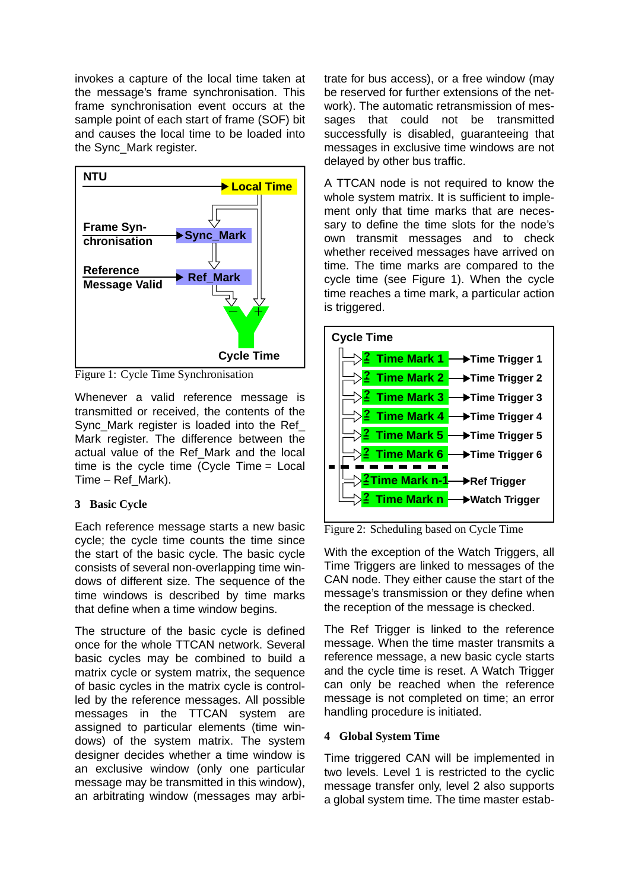invokes a capture of the local time taken at the message's frame synchronisation. This frame synchronisation event occurs at the sample point of each start of frame (SOF) bit and causes the local time to be loaded into the Sync\_Mark register.



<span id="page-1-0"></span>Figure 1: Cycle Time Synchronisation

Whenever a valid reference message is transmitted or received, the contents of the Sync\_Mark register is loaded into the Ref Mark register. The difference between the actual value of the Ref\_Mark and the local time is the cycle time (Cycle Time = Local Time – Ref\_Mark).

# **3 Basic Cycle**

Each reference message starts a new basic cycle; the cycle time counts the time since the start of the basic cycle. The basic cycle consists of several non-overlapping time windows of different size. The sequence of the time windows is described by time marks that define when a time window begins.

The structure of the basic cycle is defined once for the whole TTCAN network. Several basic cycles may be combined to build a matrix cycle or system matrix, the sequence of basic cycles in the matrix cycle is controlled by the reference messages. All possible messages in the TTCAN system are assigned to particular elements (time windows) of the system matrix. The system designer decides whether a time window is an exclusive window (only one particular message may be transmitted in this window), an arbitrating window (messages may arbitrate for bus access), or a free window (may be reserved for further extensions of the network). The automatic retransmission of messages that could not be transmitted successfully is disabled, guaranteeing that messages in exclusive time windows are not delayed by other bus traffic.

A TTCAN node is not required to know the whole system matrix. It is sufficient to implement only that time marks that are necessary to define the time slots for the node's own transmit messages and to check whether received messages have arrived on time. The time marks are compared to the cycle time (see [Figure 1\)](#page-1-0). When the cycle time reaches a time mark, a particular action is triggered.



Figure 2: Scheduling based on Cycle Time

With the exception of the Watch Triggers, all Time Triggers are linked to messages of the CAN node. They either cause the start of the message's transmission or they define when the reception of the message is checked.

The Ref Trigger is linked to the reference message. When the time master transmits a reference message, a new basic cycle starts and the cycle time is reset. A Watch Trigger can only be reached when the reference message is not completed on time; an error handling procedure is initiated.

# **4 Global System Time**

Time triggered CAN will be implemented in two levels. Level 1 is restricted to the cyclic message transfer only, level 2 also supports a global system time. The time master estab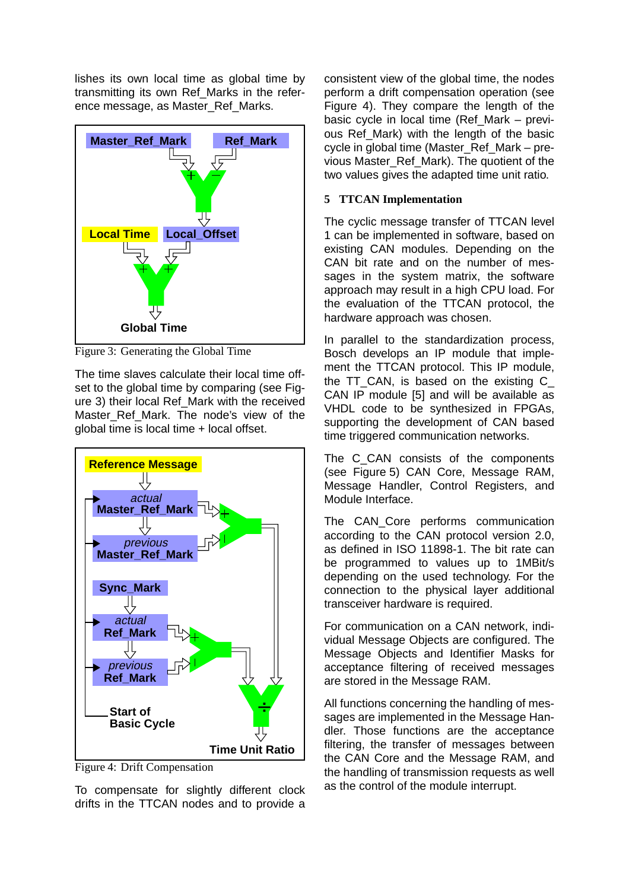lishes its own local time as global time by transmitting its own Ref\_Marks in the reference message, as Master\_Ref\_Marks.



<span id="page-2-0"></span>Figure 3: Generating the Global Time

The time slaves calculate their local time off-set to the global time by comparing (see [Fig](#page-2-0)[ure 3](#page-2-0)) their local Ref\_Mark with the received Master Ref Mark. The node's view of the global time is local time + local offset.



<span id="page-2-1"></span>Figure 4: Drift Compensation

To compensate for slightly different clock drifts in the TTCAN nodes and to provide a

consistent view of the global time, the nodes perform a drift compensation operation (see [Figure 4](#page-2-1)). They compare the length of the basic cycle in local time (Ref\_Mark – previous Ref Mark) with the length of the basic cycle in global time (Master\_Ref\_Mark – previous Master\_Ref\_Mark). The quotient of the two values gives the adapted time unit ratio.

#### **5 TTCAN Implementation**

The cyclic message transfer of TTCAN level 1 can be implemented in software, based on existing CAN modules. Depending on the CAN bit rate and on the number of messages in the system matrix, the software approach may result in a high CPU load. For the evaluation of the TTCAN protocol, the hardware approach was chosen.

In parallel to the standardization process, Bosch develops an IP module that implement the TTCAN protocol. This IP module, the TT\_CAN, is based on the existing C\_ CAN IP module [\[5\]](#page-6-2) and will be available as VHDL code to be synthesized in FPGAs, supporting the development of CAN based time triggered communication networks.

The C CAN consists of the components (see [Figure 5](#page-3-0)) CAN Core, Message RAM, Message Handler, Control Registers, and Module Interface.

The CAN Core performs communication according to the CAN protocol version 2.0, as defined in ISO 11898-1. The bit rate can be programmed to values up to 1MBit/s depending on the used technology. For the connection to the physical layer additional transceiver hardware is required.

For communication on a CAN network, individual Message Objects are configured. The Message Objects and Identifier Masks for acceptance filtering of received messages are stored in the Message RAM.

All functions concerning the handling of messages are implemented in the Message Handler. Those functions are the acceptance filtering, the transfer of messages between the CAN Core and the Message RAM, and the handling of transmission requests as well as the control of the module interrupt.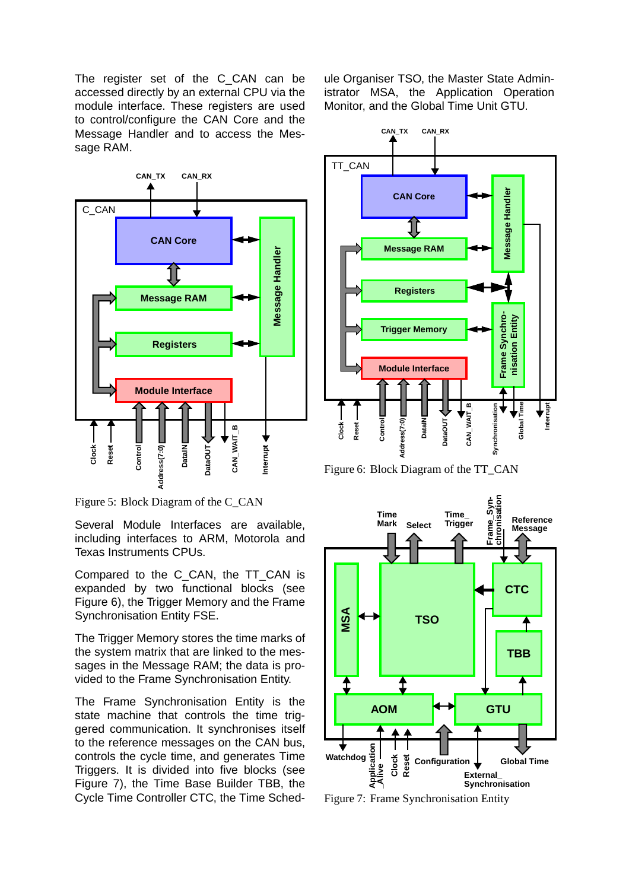The register set of the C CAN can be accessed directly by an external CPU via the module interface. These registers are used to control/configure the CAN Core and the Message Handler and to access the Message RAM.



<span id="page-3-0"></span>Figure 5: Block Diagram of the C\_CAN

Several Module Interfaces are available, including interfaces to ARM, Motorola and Texas Instruments CPUs.

Compared to the C\_CAN, the TT\_CAN is expanded by two functional blocks (see [Figure 6](#page-3-1)), the Trigger Memory and the Frame Synchronisation Entity FSE.

The Trigger Memory stores the time marks of the system matrix that are linked to the messages in the Message RAM; the data is provided to the Frame Synchronisation Entity.

The Frame Synchronisation Entity is the state machine that controls the time triggered communication. It synchronises itself to the reference messages on the CAN bus, controls the cycle time, and generates Time Triggers. It is divided into five blocks (see [Figure 7](#page-3-2)), the Time Base Builder TBB, the Cycle Time Controller CTC, the Time Schedule Organiser TSO, the Master State Administrator MSA, the Application Operation Monitor, and the Global Time Unit GTU.



<span id="page-3-1"></span>Figure 6: Block Diagram of the TT\_CAN



<span id="page-3-2"></span>Figure 7: Frame Synchronisation Entity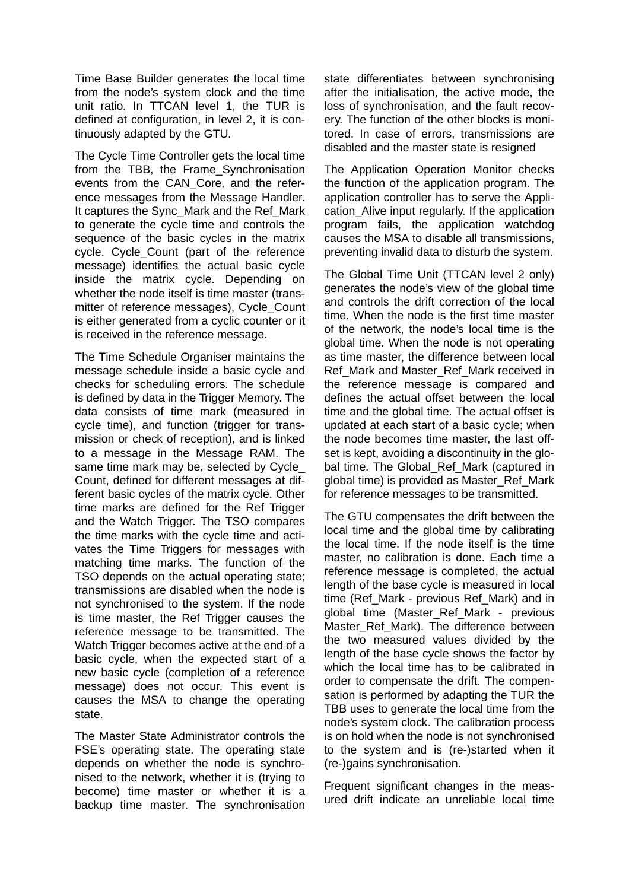Time Base Builder generates the local time from the node's system clock and the time unit ratio. In TTCAN level 1, the TUR is defined at configuration, in level 2, it is continuously adapted by the GTU.

The Cycle Time Controller gets the local time from the TBB, the Frame\_Synchronisation events from the CAN\_Core, and the reference messages from the Message Handler. It captures the Sync\_Mark and the Ref\_Mark to generate the cycle time and controls the sequence of the basic cycles in the matrix cycle. Cycle\_Count (part of the reference message) identifies the actual basic cycle inside the matrix cycle. Depending on whether the node itself is time master (transmitter of reference messages), Cycle\_Count is either generated from a cyclic counter or it is received in the reference message.

The Time Schedule Organiser maintains the message schedule inside a basic cycle and checks for scheduling errors. The schedule is defined by data in the Trigger Memory. The data consists of time mark (measured in cycle time), and function (trigger for transmission or check of reception), and is linked to a message in the Message RAM. The same time mark may be, selected by Cycle\_ Count, defined for different messages at different basic cycles of the matrix cycle. Other time marks are defined for the Ref Trigger and the Watch Trigger. The TSO compares the time marks with the cycle time and activates the Time Triggers for messages with matching time marks. The function of the TSO depends on the actual operating state; transmissions are disabled when the node is not synchronised to the system. If the node is time master, the Ref Trigger causes the reference message to be transmitted. The Watch Trigger becomes active at the end of a basic cycle, when the expected start of a new basic cycle (completion of a reference message) does not occur. This event is causes the MSA to change the operating state.

The Master State Administrator controls the FSE's operating state. The operating state depends on whether the node is synchronised to the network, whether it is (trying to become) time master or whether it is a backup time master. The synchronisation

state differentiates between synchronising after the initialisation, the active mode, the loss of synchronisation, and the fault recovery. The function of the other blocks is monitored. In case of errors, transmissions are disabled and the master state is resigned

The Application Operation Monitor checks the function of the application program. The application controller has to serve the Application\_Alive input regularly. If the application program fails, the application watchdog causes the MSA to disable all transmissions, preventing invalid data to disturb the system.

The Global Time Unit (TTCAN level 2 only) generates the node's view of the global time and controls the drift correction of the local time. When the node is the first time master of the network, the node's local time is the global time. When the node is not operating as time master, the difference between local Ref\_Mark and Master\_Ref\_Mark received in the reference message is compared and defines the actual offset between the local time and the global time. The actual offset is updated at each start of a basic cycle; when the node becomes time master, the last offset is kept, avoiding a discontinuity in the global time. The Global\_Ref\_Mark (captured in global time) is provided as Master\_Ref\_Mark for reference messages to be transmitted.

The GTU compensates the drift between the local time and the global time by calibrating the local time. If the node itself is the time master, no calibration is done. Each time a reference message is completed, the actual length of the base cycle is measured in local time (Ref\_Mark - previous Ref\_Mark) and in global time (Master\_Ref\_Mark - previous Master\_Ref\_Mark). The difference between the two measured values divided by the length of the base cycle shows the factor by which the local time has to be calibrated in order to compensate the drift. The compensation is performed by adapting the TUR the TBB uses to generate the local time from the node's system clock. The calibration process is on hold when the node is not synchronised to the system and is (re-)started when it (re-)gains synchronisation.

Frequent significant changes in the measured drift indicate an unreliable local time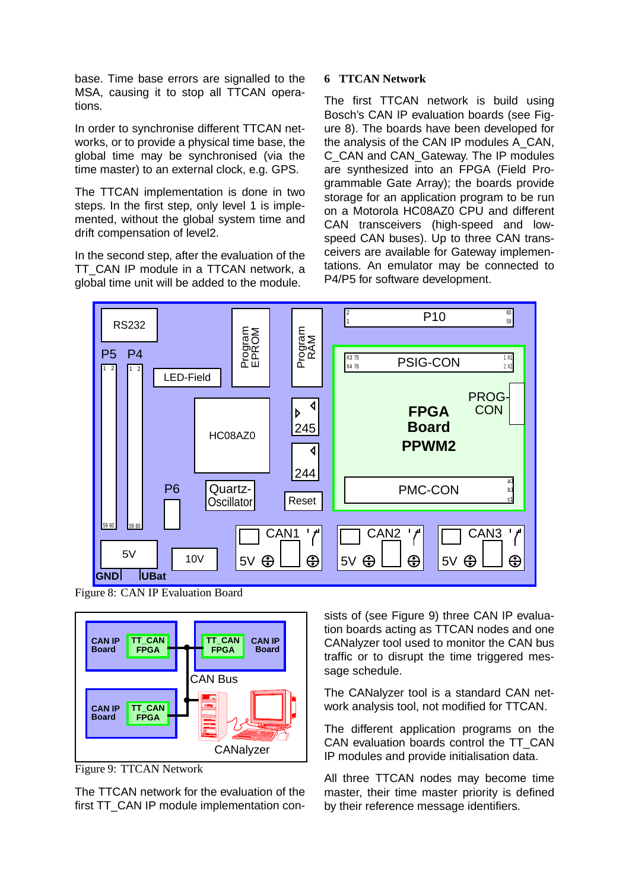base. Time base errors are signalled to the MSA, causing it to stop all TTCAN operations.

In order to synchronise different TTCAN networks, or to provide a physical time base, the global time may be synchronised (via the time master) to an external clock, e.g. GPS.

The TTCAN implementation is done in two steps. In the first step, only level 1 is implemented, without the global system time and drift compensation of level2.

In the second step, after the evaluation of the TT\_CAN IP module in a TTCAN network, a global time unit will be added to the module.

## **6 TTCAN Network**

The first TTCAN network is build using Bosch's CAN IP evaluation boards (see [Fig](#page-5-0)[ure 8](#page-5-0)). The boards have been developed for the analysis of the CAN IP modules A\_CAN, C\_CAN and CAN\_Gateway. The IP modules are synthesized into an FPGA (Field Programmable Gate Array); the boards provide storage for an application program to be run on a Motorola HC08AZ0 CPU and different CAN transceivers (high-speed and lowspeed CAN buses). Up to three CAN transceivers are available for Gateway implementations. An emulator may be connected to P4/P5 for software development.



<span id="page-5-0"></span>Figure 8: CAN IP Evaluation Board



<span id="page-5-1"></span>Figure 9: TTCAN Network

The TTCAN network for the evaluation of the first TT\_CAN IP module implementation consists of (see [Figure 9\)](#page-5-1) three CAN IP evaluation boards acting as TTCAN nodes and one CANalyzer tool used to monitor the CAN bus traffic or to disrupt the time triggered message schedule.

The CANalyzer tool is a standard CAN network analysis tool, not modified for TTCAN.

The different application programs on the CAN evaluation boards control the TT\_CAN IP modules and provide initialisation data.

All three TTCAN nodes may become time master, their time master priority is defined by their reference message identifiers.